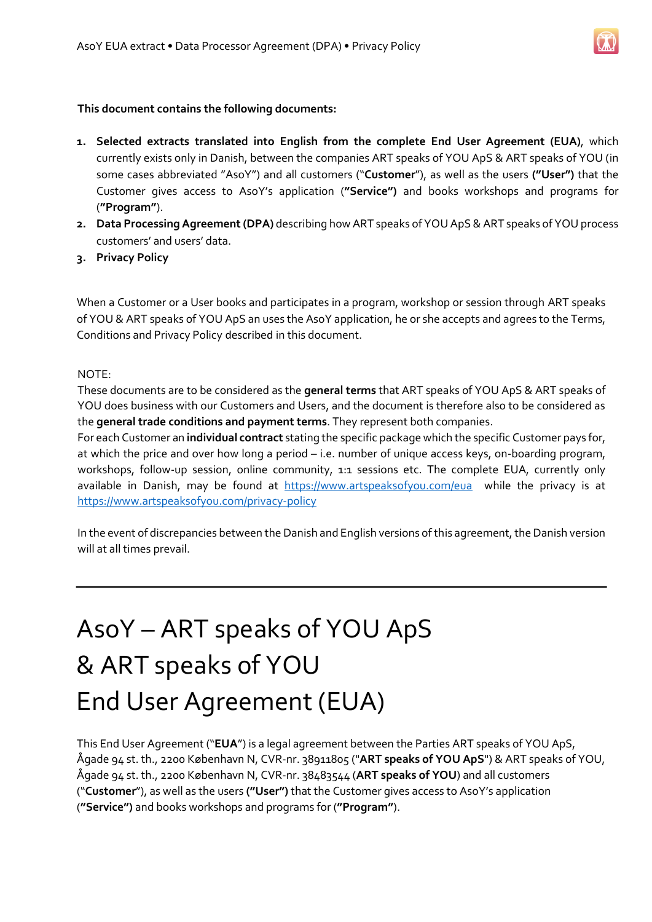#### **This document contains the following documents:**

- **1. Selected extracts translated into English from the complete End User Agreement (EUA)**, which currently exists only in Danish, between the companies ART speaks of YOU ApS & ART speaks of YOU (in some cases abbreviated "AsoY") and all customers ("**Customer**"), as well as the users **("User")** that the Customer gives access to AsoY's application (**"Service")** and books workshops and programs for (**"Program"**).
- **2. Data Processing Agreement (DPA)** describing how ART speaks of YOU ApS & ART speaks of YOU process customers' and users' data.
- **3. Privacy Policy**

When a Customer or a User books and participates in a program, workshop or session through ART speaks of YOU & ART speaks of YOU ApS an uses the AsoY application, he or she accepts and agrees to the Terms, Conditions and Privacy Policy described in this document.

#### NOTE:

These documents are to be considered as the **general terms** that ART speaks of YOU ApS & ART speaks of YOU does business with our Customers and Users, and the document is therefore also to be considered as the **general trade conditions and payment terms**. They represent both companies.

For each Customer an **individual contract** stating the specific package which the specific Customer pays for, at which the price and over how long a period – i.e. number of unique access keys, on-boarding program, workshops, follow-up session, online community, 1:1 sessions etc. The complete EUA, currently only available in Danish, may be found at <https://www.artspeaksofyou.com/eua> while the privacy is at <https://www.artspeaksofyou.com/privacy-policy>

In the event of discrepancies between the Danish and English versions of this agreement, the Danish version will at all times prevail.

### AsoY – ART speaks of YOU ApS & ART speaks of YOU End User Agreement (EUA)

This End User Agreement ("**EUA**") is a legal agreement between the Parties ART speaks of YOU ApS, Ågade 94 st. th., 2200 København N, CVR-nr. 38911805 ("**ART speaks of YOU ApS**") & ART speaks of YOU, Ågade 94 st. th., 2200 København N, CVR-nr. 38483544 (**ART speaks of YOU**) and all customers ("**Customer**"), as well as the users **("User")** that the Customer gives access to AsoY's application (**"Service")** and books workshops and programs for (**"Program"**).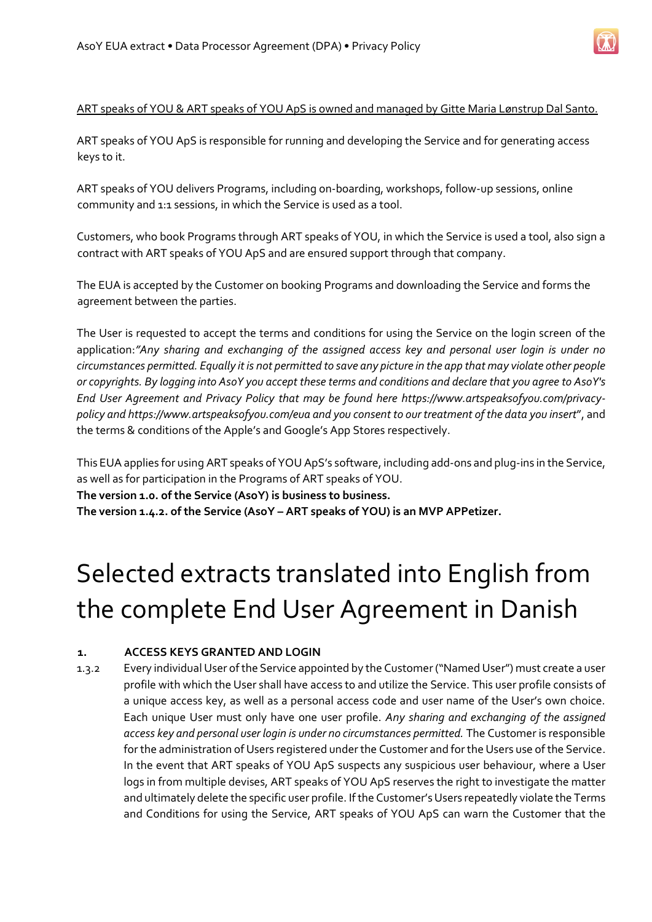

#### ART speaks of YOU & ART speaks of YOU ApS is owned and managed by Gitte Maria Lønstrup Dal Santo.

ART speaks of YOU ApS is responsible for running and developing the Service and for generating access keys to it.

ART speaks of YOU delivers Programs, including on-boarding, workshops, follow-up sessions, online community and 1:1 sessions, in which the Service is used as a tool.

Customers, who book Programs through ART speaks of YOU, in which the Service is used a tool, also sign a contract with ART speaks of YOU ApS and are ensured support through that company.

The EUA is accepted by the Customer on booking Programs and downloading the Service and forms the agreement between the parties.

The User is requested to accept the terms and conditions for using the Service on the login screen of the application:*"Any sharing and exchanging of the assigned access key and personal user login is under no circumstances permitted. Equally it is not permitted to save any picture in the app that may violate other people or copyrights. By logging into AsoY you accept these terms and conditions and declare that you agree to AsoY's End User Agreement and Privacy Policy that may be found here https://www.artspeaksofyou.com/privacypolicy and https://www.artspeaksofyou.com/eua and you consent to our treatment of the data you insert*", and the terms & conditions of the Apple's and Google's App Stores respectively.

This EUA applies for using ART speaks of YOU ApS's software, including add-ons and plug-ins in the Service, as well as for participation in the Programs of ART speaks of YOU.

#### **The version 1.0. of the Service (AsoY) is business to business.**

**The version 1.4.2. of the Service (AsoY – ART speaks of YOU) is an MVP APPetizer.**

### Selected extracts translated into English from the complete End User Agreement in Danish

### **1. ACCESS KEYS GRANTED AND LOGIN**

1.3.2 Every individual User of the Service appointed by the Customer ("Named User") must create a user profile with which the User shall have access to and utilize the Service. This user profile consists of a unique access key, as well as a personal access code and user name of the User's own choice. Each unique User must only have one user profile. *Any sharing and exchanging of the assigned access key and personal user login is under no circumstances permitted.* The Customer is responsible for the administration of Users registered under the Customer and for the Users use of the Service. In the event that ART speaks of YOU ApS suspects any suspicious user behaviour, where a User logs in from multiple devises, ART speaks of YOU ApS reserves the right to investigate the matter and ultimately delete the specific user profile. If the Customer's Users repeatedly violate the Terms and Conditions for using the Service, ART speaks of YOU ApS can warn the Customer that the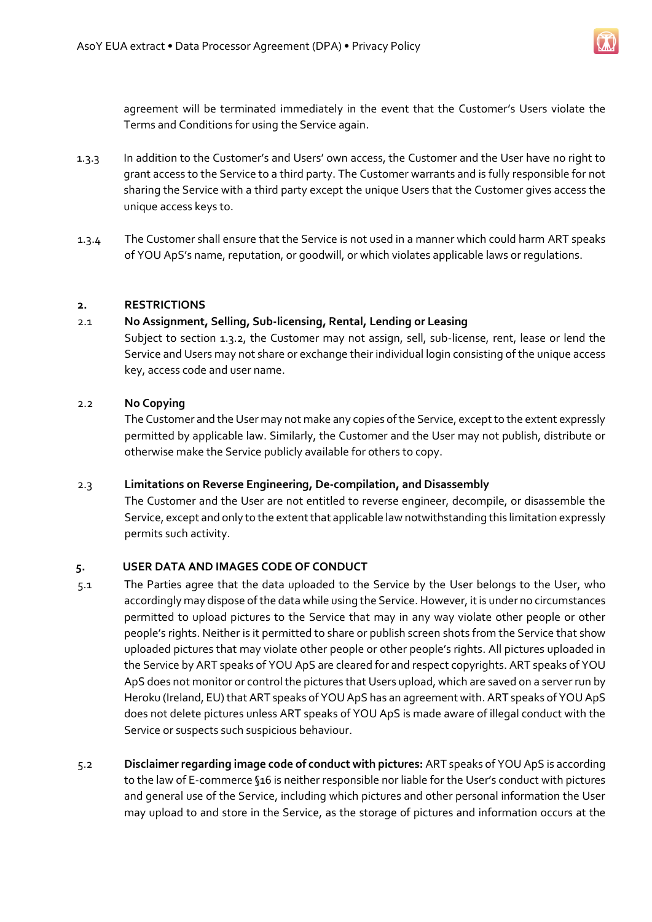

agreement will be terminated immediately in the event that the Customer's Users violate the Terms and Conditions for using the Service again.

- 1.3.3 In addition to the Customer's and Users' own access, the Customer and the User have no right to grant access to the Service to a third party. The Customer warrants and is fully responsible for not sharing the Service with a third party except the unique Users that the Customer gives access the unique access keys to.
- 1.3.4 The Customer shall ensure that the Service is not used in a manner which could harm ART speaks of YOU ApS's name, reputation, or goodwill, or which violates applicable laws or regulations.

#### **2. RESTRICTIONS**

#### 2.1 **No Assignment, Selling, Sub-licensing, Rental, Lending or Leasing**

Subject to section 1.3.2, the Customer may not assign, sell, sub-license, rent, lease or lend the Service and Users may not share or exchange their individual login consisting of the unique access key, access code and user name.

#### 2.2 **No Copying**

The Customer and the User may not make any copies of the Service, except to the extent expressly permitted by applicable law. Similarly, the Customer and the User may not publish, distribute or otherwise make the Service publicly available for others to copy.

#### 2.3 **Limitations on Reverse Engineering, De-compilation, and Disassembly**

The Customer and the User are not entitled to reverse engineer, decompile, or disassemble the Service, except and only to the extent that applicable law notwithstanding this limitation expressly permits such activity.

#### **5. USER DATA AND IMAGES CODE OF CONDUCT**

- 5.1 The Parties agree that the data uploaded to the Service by the User belongs to the User, who accordingly may dispose of the data while using the Service. However, it is under no circumstances permitted to upload pictures to the Service that may in any way violate other people or other people's rights. Neither is it permitted to share or publish screen shots from the Service that show uploaded pictures that may violate other people or other people's rights. All pictures uploaded in the Service by ART speaks of YOU ApS are cleared for and respect copyrights. ART speaks of YOU ApS does not monitor or control the pictures that Users upload, which are saved on a server run by Heroku (Ireland, EU) that ART speaks of YOU ApS has an agreement with. ART speaks of YOU ApS does not delete pictures unless ART speaks of YOU ApS is made aware of illegal conduct with the Service or suspects such suspicious behaviour.
- 5.2 **Disclaimer regarding image code of conduct with pictures:** ART speaks of YOU ApS is according to the law of E-commerce §16 is neither responsible nor liable for the User's conduct with pictures and general use of the Service, including which pictures and other personal information the User may upload to and store in the Service, as the storage of pictures and information occurs at the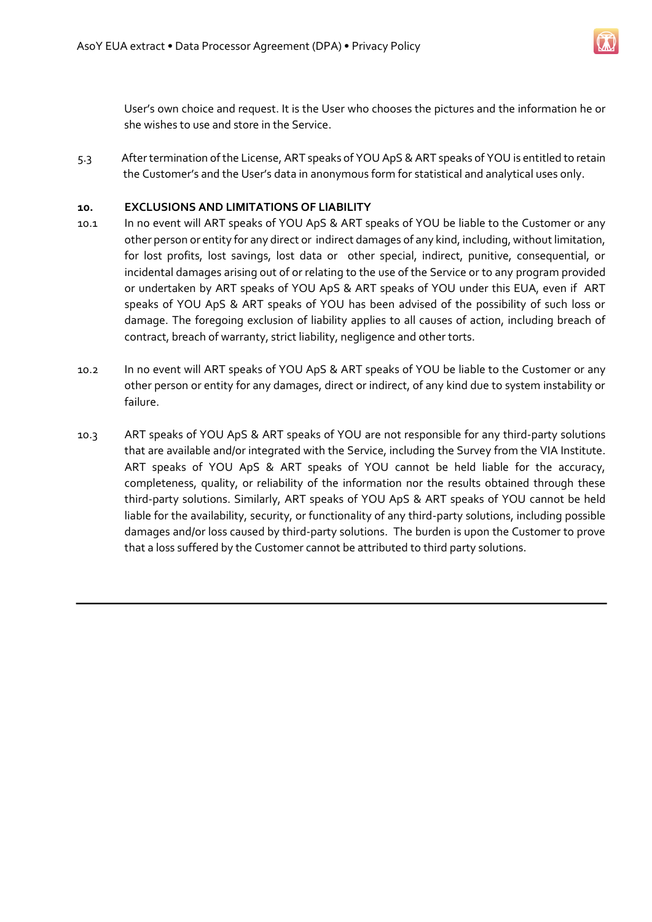

User's own choice and request. It is the User who chooses the pictures and the information he or she wishes to use and store in the Service.

5.3 After termination of the License, ART speaks of YOU ApS & ART speaks of YOU is entitled to retain the Customer's and the User's data in anonymous form for statistical and analytical uses only.

#### **10. EXCLUSIONS AND LIMITATIONS OF LIABILITY**

- 10.1 In no event will ART speaks of YOU ApS & ART speaks of YOU be liable to the Customer or any other person or entity for any direct or indirect damages of any kind, including, without limitation, for lost profits, lost savings, lost data or other special, indirect, punitive, consequential, or incidental damages arising out of or relating to the use of the Service or to any program provided or undertaken by ART speaks of YOU ApS & ART speaks of YOU under this EUA, even if ART speaks of YOU ApS & ART speaks of YOU has been advised of the possibility of such loss or damage. The foregoing exclusion of liability applies to all causes of action, including breach of contract, breach of warranty, strict liability, negligence and other torts.
- 10.2 In no event will ART speaks of YOU ApS & ART speaks of YOU be liable to the Customer or any other person or entity for any damages, direct or indirect, of any kind due to system instability or failure.
- 10.3 ART speaks of YOU ApS & ART speaks of YOU are not responsible for any third-party solutions that are available and/or integrated with the Service, including the Survey from the VIA Institute. ART speaks of YOU ApS & ART speaks of YOU cannot be held liable for the accuracy, completeness, quality, or reliability of the information nor the results obtained through these third-party solutions. Similarly, ART speaks of YOU ApS & ART speaks of YOU cannot be held liable for the availability, security, or functionality of any third-party solutions, including possible damages and/or loss caused by third-party solutions. The burden is upon the Customer to prove that a loss suffered by the Customer cannot be attributed to third party solutions.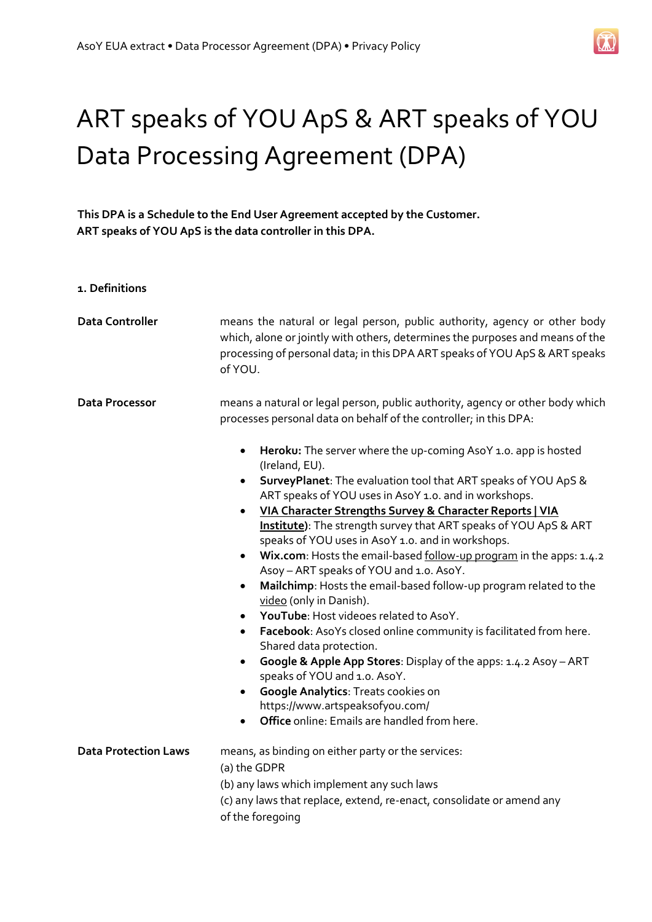

## ART speaks of YOU ApS & ART speaks of YOU Data Processing Agreement (DPA)

**This DPA is a Schedule to the End User Agreement accepted by the Customer. ART speaks of YOU ApS is the data controller in this DPA.** 

**1. Definitions** 

| <b>Data Controller</b>      | means the natural or legal person, public authority, agency or other body<br>which, alone or jointly with others, determines the purposes and means of the<br>processing of personal data; in this DPA ART speaks of YOU ApS & ART speaks<br>of YOU.                                                                                                                                                                                                                                                                                                                                                                                                                                                                                                                                                                                                                                                                                                                                                                                                                                                                                                                                                                 |
|-----------------------------|----------------------------------------------------------------------------------------------------------------------------------------------------------------------------------------------------------------------------------------------------------------------------------------------------------------------------------------------------------------------------------------------------------------------------------------------------------------------------------------------------------------------------------------------------------------------------------------------------------------------------------------------------------------------------------------------------------------------------------------------------------------------------------------------------------------------------------------------------------------------------------------------------------------------------------------------------------------------------------------------------------------------------------------------------------------------------------------------------------------------------------------------------------------------------------------------------------------------|
| <b>Data Processor</b>       | means a natural or legal person, public authority, agency or other body which<br>processes personal data on behalf of the controller; in this DPA:<br>Heroku: The server where the up-coming AsoY 1.0. app is hosted<br>$\bullet$<br>(Ireland, EU).<br>SurveyPlanet: The evaluation tool that ART speaks of YOU ApS &<br>$\bullet$<br>ART speaks of YOU uses in AsoY 1.0. and in workshops.<br>VIA Character Strengths Survey & Character Reports   VIA<br>$\bullet$<br>Institute): The strength survey that ART speaks of YOU ApS & ART<br>speaks of YOU uses in AsoY 1.0. and in workshops.<br>Wix.com: Hosts the email-based follow-up program in the apps: 1.4.2<br>$\bullet$<br>Asoy - ART speaks of YOU and 1.0. AsoY.<br>Mailchimp: Hosts the email-based follow-up program related to the<br>$\bullet$<br>video (only in Danish).<br>YouTube: Host videoes related to AsoY.<br>$\bullet$<br>Facebook: AsoYs closed online community is facilitated from here.<br>$\bullet$<br>Shared data protection.<br>Google & Apple App Stores: Display of the apps: 1.4.2 Asoy - ART<br>٠<br>speaks of YOU and 1.0. AsoY.<br><b>Google Analytics: Treats cookies on</b><br>$\bullet$<br>https://www.artspeaksofyou.com/ |
|                             | Office online: Emails are handled from here.<br>$\bullet$                                                                                                                                                                                                                                                                                                                                                                                                                                                                                                                                                                                                                                                                                                                                                                                                                                                                                                                                                                                                                                                                                                                                                            |
| <b>Data Protection Laws</b> | means, as binding on either party or the services:<br>(a) the GDPR<br>(b) any laws which implement any such laws<br>(c) any laws that replace, extend, re-enact, consolidate or amend any<br>of the foregoing                                                                                                                                                                                                                                                                                                                                                                                                                                                                                                                                                                                                                                                                                                                                                                                                                                                                                                                                                                                                        |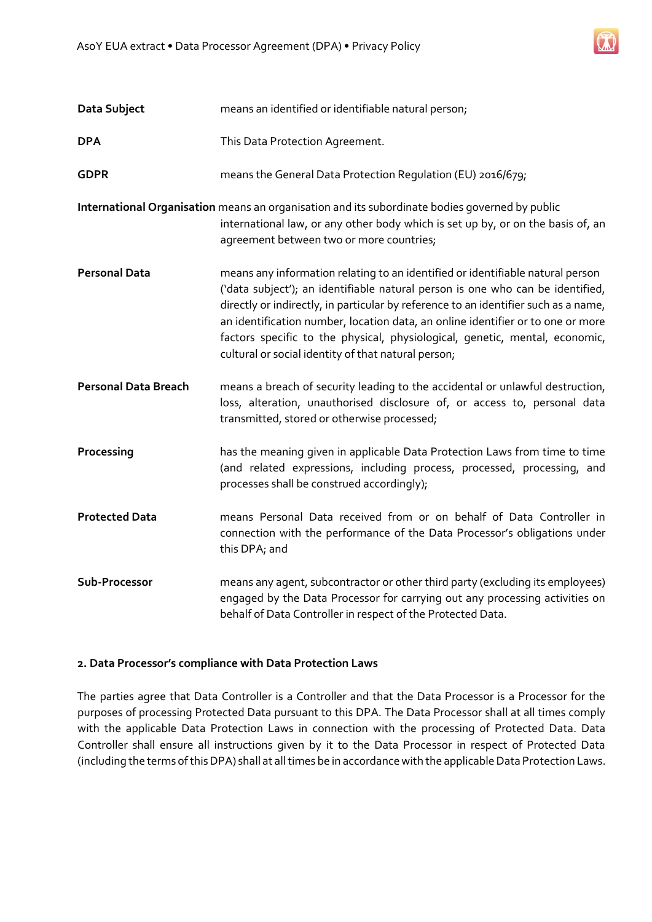| Data Subject                | means an identified or identifiable natural person;                                                                                                                                                                                                                                                                                                                                                                                                                              |
|-----------------------------|----------------------------------------------------------------------------------------------------------------------------------------------------------------------------------------------------------------------------------------------------------------------------------------------------------------------------------------------------------------------------------------------------------------------------------------------------------------------------------|
| <b>DPA</b>                  | This Data Protection Agreement.                                                                                                                                                                                                                                                                                                                                                                                                                                                  |
| <b>GDPR</b>                 | means the General Data Protection Regulation (EU) 2016/679;                                                                                                                                                                                                                                                                                                                                                                                                                      |
|                             | International Organisation means an organisation and its subordinate bodies governed by public<br>international law, or any other body which is set up by, or on the basis of, an<br>agreement between two or more countries;                                                                                                                                                                                                                                                    |
| <b>Personal Data</b>        | means any information relating to an identified or identifiable natural person<br>('data subject'); an identifiable natural person is one who can be identified,<br>directly or indirectly, in particular by reference to an identifier such as a name,<br>an identification number, location data, an online identifier or to one or more<br>factors specific to the physical, physiological, genetic, mental, economic,<br>cultural or social identity of that natural person; |
| <b>Personal Data Breach</b> | means a breach of security leading to the accidental or unlawful destruction,<br>loss, alteration, unauthorised disclosure of, or access to, personal data<br>transmitted, stored or otherwise processed;                                                                                                                                                                                                                                                                        |
| Processing                  | has the meaning given in applicable Data Protection Laws from time to time<br>(and related expressions, including process, processed, processing, and<br>processes shall be construed accordingly);                                                                                                                                                                                                                                                                              |
| <b>Protected Data</b>       | means Personal Data received from or on behalf of Data Controller in<br>connection with the performance of the Data Processor's obligations under<br>this DPA; and                                                                                                                                                                                                                                                                                                               |
| Sub-Processor               | means any agent, subcontractor or other third party (excluding its employees)<br>engaged by the Data Processor for carrying out any processing activities on<br>behalf of Data Controller in respect of the Protected Data.                                                                                                                                                                                                                                                      |

#### **2. Data Processor's compliance with Data Protection Laws**

The parties agree that Data Controller is a Controller and that the Data Processor is a Processor for the purposes of processing Protected Data pursuant to this DPA. The Data Processor shall at all times comply with the applicable Data Protection Laws in connection with the processing of Protected Data. Data Controller shall ensure all instructions given by it to the Data Processor in respect of Protected Data (including the terms of this DPA) shall at all times be in accordance with the applicable Data Protection Laws.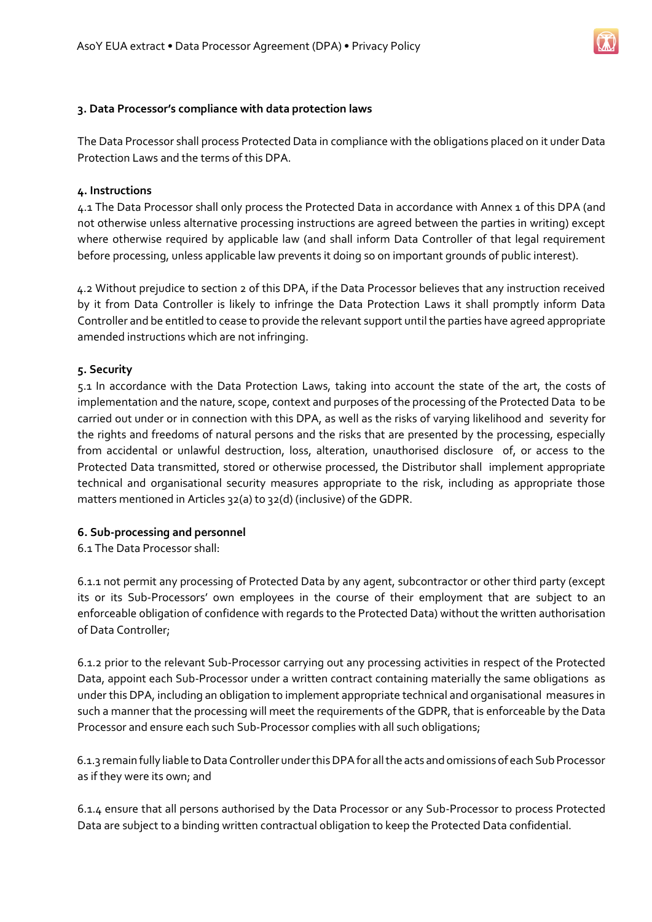

#### **3. Data Processor's compliance with data protection laws**

The Data Processor shall process Protected Data in compliance with the obligations placed on it under Data Protection Laws and the terms of this DPA.

#### **4. Instructions**

4.1 The Data Processor shall only process the Protected Data in accordance with Annex 1 of this DPA (and not otherwise unless alternative processing instructions are agreed between the parties in writing) except where otherwise required by applicable law (and shall inform Data Controller of that legal requirement before processing, unless applicable law prevents it doing so on important grounds of public interest).

4.2 Without prejudice to section 2 of this DPA, if the Data Processor believes that any instruction received by it from Data Controller is likely to infringe the Data Protection Laws it shall promptly inform Data Controller and be entitled to cease to provide the relevant support until the parties have agreed appropriate amended instructions which are not infringing.

#### **5. Security**

5.1 In accordance with the Data Protection Laws, taking into account the state of the art, the costs of implementation and the nature, scope, context and purposes of the processing of the Protected Data to be carried out under or in connection with this DPA, as well as the risks of varying likelihood and severity for the rights and freedoms of natural persons and the risks that are presented by the processing, especially from accidental or unlawful destruction, loss, alteration, unauthorised disclosure of, or access to the Protected Data transmitted, stored or otherwise processed, the Distributor shall implement appropriate technical and organisational security measures appropriate to the risk, including as appropriate those matters mentioned in Articles 32(a) to 32(d) (inclusive) of the GDPR.

#### **6. Sub-processing and personnel**

6.1 The Data Processor shall:

6.1.1 not permit any processing of Protected Data by any agent, subcontractor or other third party (except its or its Sub-Processors' own employees in the course of their employment that are subject to an enforceable obligation of confidence with regards to the Protected Data) without the written authorisation of Data Controller;

6.1.2 prior to the relevant Sub-Processor carrying out any processing activities in respect of the Protected Data, appoint each Sub-Processor under a written contract containing materially the same obligations as under this DPA, including an obligation to implement appropriate technical and organisational measures in such a manner that the processing will meet the requirements of the GDPR, that is enforceable by the Data Processor and ensure each such Sub-Processor complies with all such obligations;

6.1.3 remain fully liable to Data Controller under this DPA for all the acts and omissions of each Sub Processor as if they were its own; and

6.1.4 ensure that all persons authorised by the Data Processor or any Sub-Processor to process Protected Data are subject to a binding written contractual obligation to keep the Protected Data confidential.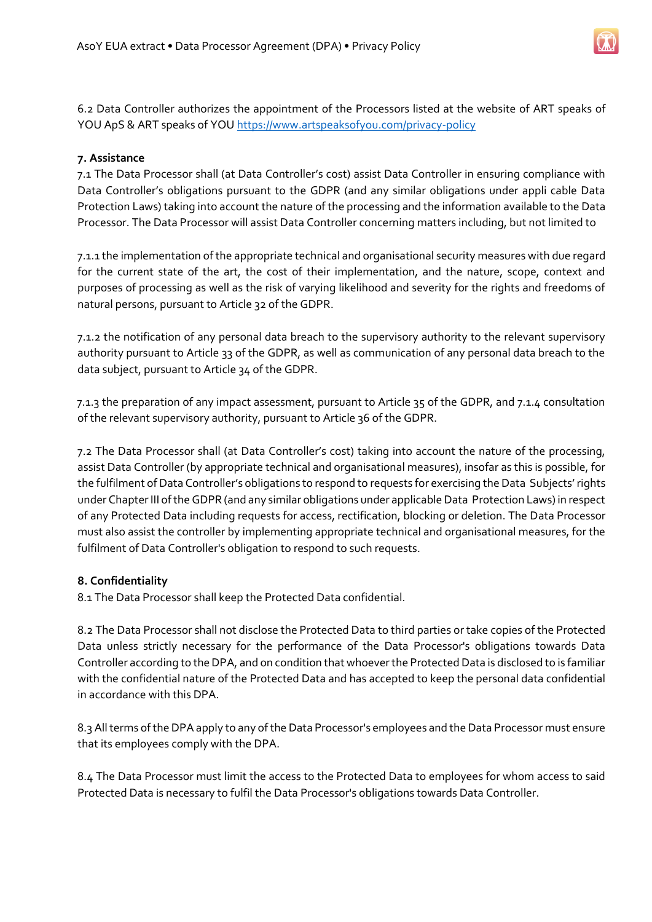6.2 Data Controller authorizes the appointment of the Processors listed at the website of ART speaks of YOU ApS & ART speaks of YOU <https://www.artspeaksofyou.com/privacy-policy>

#### **7. Assistance**

7.1 The Data Processor shall (at Data Controller's cost) assist Data Controller in ensuring compliance with Data Controller's obligations pursuant to the GDPR (and any similar obligations under appli cable Data Protection Laws) taking into account the nature of the processing and the information available to the Data Processor. The Data Processor will assist Data Controller concerning matters including, but not limited to

7.1.1 the implementation of the appropriate technical and organisational security measures with due regard for the current state of the art, the cost of their implementation, and the nature, scope, context and purposes of processing as well as the risk of varying likelihood and severity for the rights and freedoms of natural persons, pursuant to Article 32 of the GDPR.

7.1.2 the notification of any personal data breach to the supervisory authority to the relevant supervisory authority pursuant to Article 33 of the GDPR, as well as communication of any personal data breach to the data subject, pursuant to Article 34 of the GDPR.

7.1.3 the preparation of any impact assessment, pursuant to Article 35 of the GDPR, and 7.1.4 consultation of the relevant supervisory authority, pursuant to Article 36 of the GDPR.

7.2 The Data Processor shall (at Data Controller's cost) taking into account the nature of the processing, assist Data Controller (by appropriate technical and organisational measures), insofar as this is possible, for the fulfilment of Data Controller's obligations to respond to requests for exercising the Data Subjects' rights under Chapter III of the GDPR (and any similar obligations under applicable Data Protection Laws) in respect of any Protected Data including requests for access, rectification, blocking or deletion. The Data Processor must also assist the controller by implementing appropriate technical and organisational measures, for the fulfilment of Data Controller's obligation to respond to such requests.

#### **8. Confidentiality**

8.1 The Data Processor shall keep the Protected Data confidential.

8.2 The Data Processor shall not disclose the Protected Data to third parties or take copies of the Protected Data unless strictly necessary for the performance of the Data Processor's obligations towards Data Controller according to the DPA, and on condition that whoever the Protected Data is disclosed to is familiar with the confidential nature of the Protected Data and has accepted to keep the personal data confidential in accordance with this DPA.

8.3 All terms of the DPA apply to any of the Data Processor's employees and the Data Processor must ensure that its employees comply with the DPA.

8.4 The Data Processor must limit the access to the Protected Data to employees for whom access to said Protected Data is necessary to fulfil the Data Processor's obligations towards Data Controller.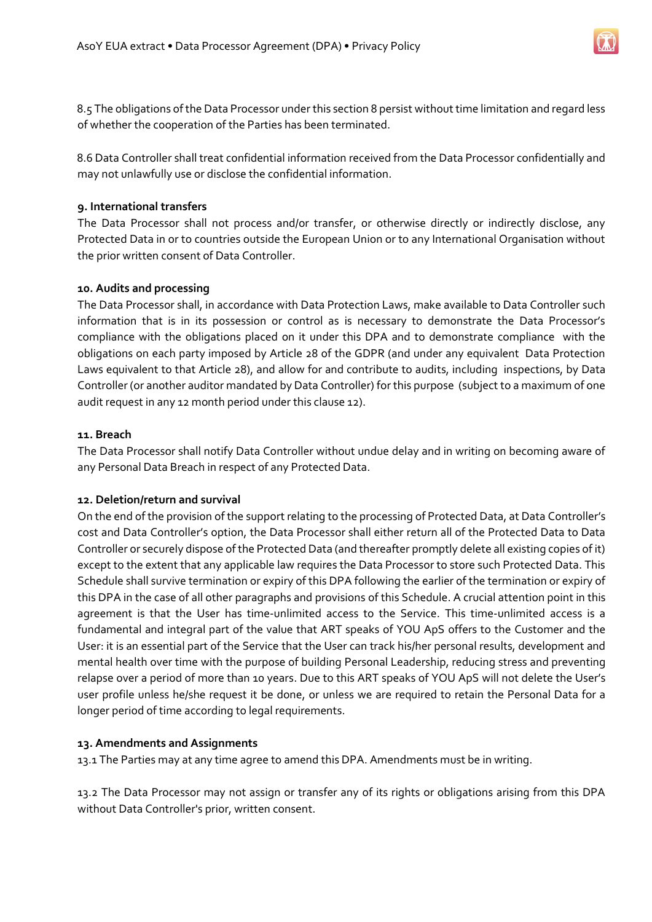8.5 The obligations of the Data Processor under this section 8 persist without time limitation and regard less of whether the cooperation of the Parties has been terminated.

8.6 Data Controller shall treat confidential information received from the Data Processor confidentially and may not unlawfully use or disclose the confidential information.

#### **9. International transfers**

The Data Processor shall not process and/or transfer, or otherwise directly or indirectly disclose, any Protected Data in or to countries outside the European Union or to any International Organisation without the prior written consent of Data Controller.

#### **10. Audits and processing**

The Data Processor shall, in accordance with Data Protection Laws, make available to Data Controller such information that is in its possession or control as is necessary to demonstrate the Data Processor's compliance with the obligations placed on it under this DPA and to demonstrate compliance with the obligations on each party imposed by Article 28 of the GDPR (and under any equivalent Data Protection Laws equivalent to that Article 28), and allow for and contribute to audits, including inspections, by Data Controller (or another auditor mandated by Data Controller) for this purpose (subject to a maximum of one audit request in any 12 month period under this clause 12).

#### **11. Breach**

The Data Processor shall notify Data Controller without undue delay and in writing on becoming aware of any Personal Data Breach in respect of any Protected Data.

#### **12. Deletion/return and survival**

On the end of the provision of the support relating to the processing of Protected Data, at Data Controller's cost and Data Controller's option, the Data Processor shall either return all of the Protected Data to Data Controller or securely dispose of the Protected Data (and thereafter promptly delete all existing copies of it) except to the extent that any applicable law requires the Data Processor to store such Protected Data. This Schedule shall survive termination or expiry of this DPA following the earlier of the termination or expiry of this DPA in the case of all other paragraphs and provisions of this Schedule. A crucial attention point in this agreement is that the User has time-unlimited access to the Service. This time-unlimited access is a fundamental and integral part of the value that ART speaks of YOU ApS offers to the Customer and the User: it is an essential part of the Service that the User can track his/her personal results, development and mental health over time with the purpose of building Personal Leadership, reducing stress and preventing relapse over a period of more than 10 years. Due to this ART speaks of YOU ApS will not delete the User's user profile unless he/she request it be done, or unless we are required to retain the Personal Data for a longer period of time according to legal requirements.

#### **13. Amendments and Assignments**

13.1 The Parties may at any time agree to amend this DPA. Amendments must be in writing.

13.2 The Data Processor may not assign or transfer any of its rights or obligations arising from this DPA without Data Controller's prior, written consent.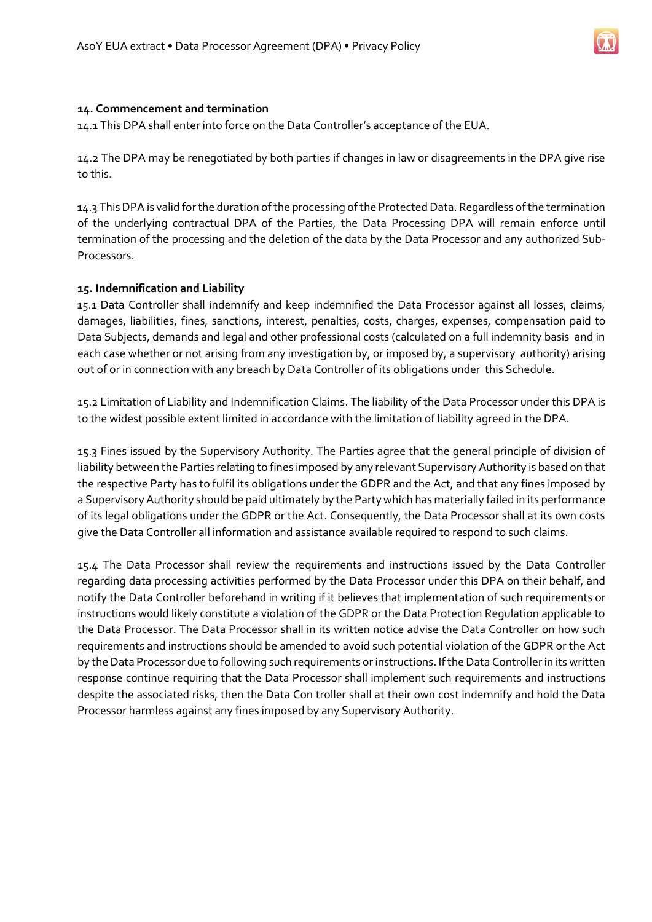

#### **14. Commencement and termination**

14.1 This DPA shall enter into force on the Data Controller's acceptance of the EUA.

14.2 The DPA may be renegotiated by both parties if changes in law or disagreements in the DPA give rise to this.

14.3 This DPA is valid for the duration of the processing of the Protected Data. Regardless of the termination of the underlying contractual DPA of the Parties, the Data Processing DPA will remain enforce until termination of the processing and the deletion of the data by the Data Processor and any authorized Sub-Processors.

#### **15. Indemnification and Liability**

15.1 Data Controller shall indemnify and keep indemnified the Data Processor against all losses, claims, damages, liabilities, fines, sanctions, interest, penalties, costs, charges, expenses, compensation paid to Data Subjects, demands and legal and other professional costs (calculated on a full indemnity basis and in each case whether or not arising from any investigation by, or imposed by, a supervisory authority) arising out of or in connection with any breach by Data Controller of its obligations under this Schedule.

15.2 Limitation of Liability and Indemnification Claims. The liability of the Data Processor under this DPA is to the widest possible extent limited in accordance with the limitation of liability agreed in the DPA.

15.3 Fines issued by the Supervisory Authority. The Parties agree that the general principle of division of liability between the Parties relating to fines imposed by any relevant Supervisory Authority is based on that the respective Party has to fulfil its obligations under the GDPR and the Act, and that any fines imposed by a Supervisory Authority should be paid ultimately by the Party which has materially failed in its performance of its legal obligations under the GDPR or the Act. Consequently, the Data Processor shall at its own costs give the Data Controller all information and assistance available required to respond to such claims.

15.4 The Data Processor shall review the requirements and instructions issued by the Data Controller regarding data processing activities performed by the Data Processor under this DPA on their behalf, and notify the Data Controller beforehand in writing if it believes that implementation of such requirements or instructions would likely constitute a violation of the GDPR or the Data Protection Regulation applicable to the Data Processor. The Data Processor shall in its written notice advise the Data Controller on how such requirements and instructions should be amended to avoid such potential violation of the GDPR or the Act by the Data Processor due to following such requirements or instructions. If the Data Controller in its written response continue requiring that the Data Processor shall implement such requirements and instructions despite the associated risks, then the Data Con troller shall at their own cost indemnify and hold the Data Processor harmless against any fines imposed by any Supervisory Authority.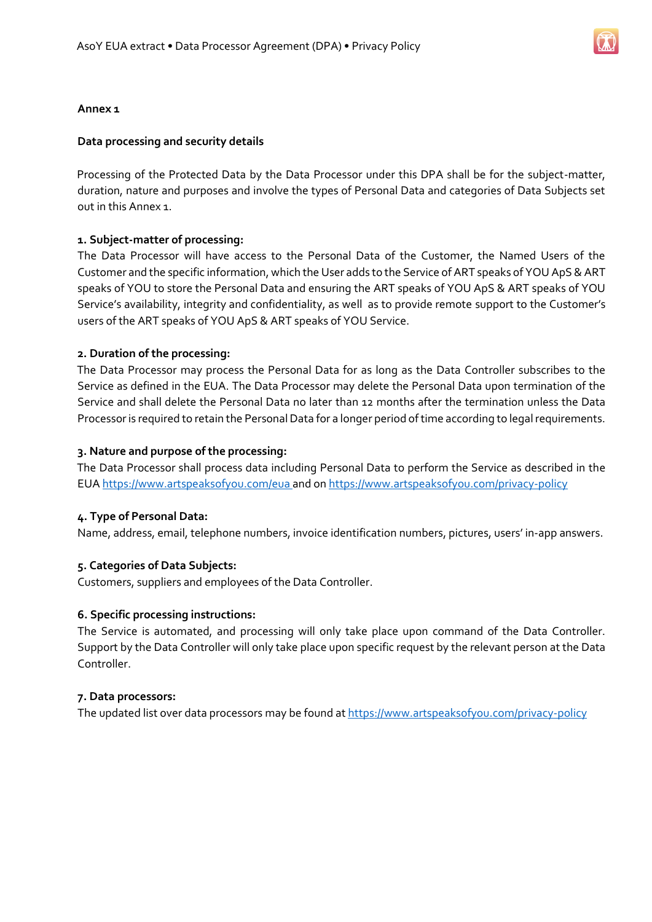

#### **Annex 1**

#### **Data processing and security details**

Processing of the Protected Data by the Data Processor under this DPA shall be for the subject-matter, duration, nature and purposes and involve the types of Personal Data and categories of Data Subjects set out in this Annex 1.

#### **1. Subject-matter of processing:**

The Data Processor will have access to the Personal Data of the Customer, the Named Users of the Customer and the specific information, which the User adds to the Service of ART speaks of YOU ApS & ART speaks of YOU to store the Personal Data and ensuring the ART speaks of YOU ApS & ART speaks of YOU Service's availability, integrity and confidentiality, as well as to provide remote support to the Customer's users of the ART speaks of YOU ApS & ART speaks of YOU Service.

#### **2. Duration of the processing:**

The Data Processor may process the Personal Data for as long as the Data Controller subscribes to the Service as defined in the EUA. The Data Processor may delete the Personal Data upon termination of the Service and shall delete the Personal Data no later than 12 months after the termination unless the Data Processor is required to retain the Personal Data for a longer period of time according to legal requirements.

#### **3. Nature and purpose of the processing:**

The Data Processor shall process data including Personal Data to perform the Service as described in the EUA <https://www.artspeaksofyou.com/eua> and on <https://www.artspeaksofyou.com/privacy-policy>

#### **4. Type of Personal Data:**

Name, address, email, telephone numbers, invoice identification numbers, pictures, users' in-app answers.

#### **5. Categories of Data Subjects:**

Customers, suppliers and employees of the Data Controller.

#### **6. Specific processing instructions:**

The Service is automated, and processing will only take place upon command of the Data Controller. Support by the Data Controller will only take place upon specific request by the relevant person at the Data Controller.

#### **7. Data processors:**

The updated list over data processors may be found at<https://www.artspeaksofyou.com/privacy-policy>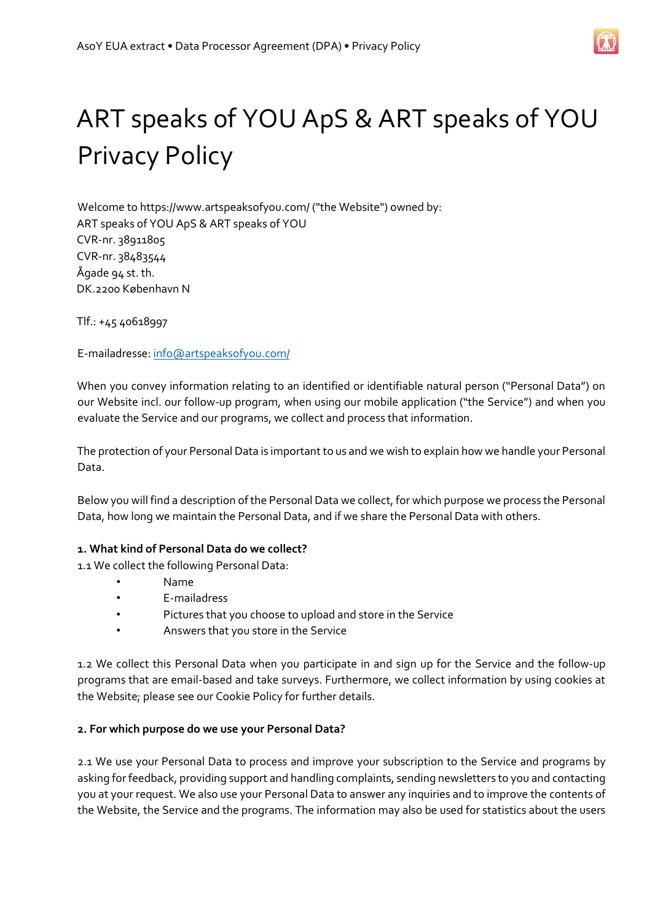

# ART speaks of YOU ApS & ART speaks of YOU Privacy Policy

Welcome to https://www.artspeaksofyou.com/ ("the Website") owned by: ART speaks of YOU ApS & ART speaks of YOU CVR-nr. 38911805 CVR-nr. 38483544 Ågade 94 st. th. DK.2200 København N

Tlf.: +45 40618997

E-mailadresse: info@artspeaksofyou.com/

When you convey information relating to an identified or identifiable natural person ("Personal Data") on our Website incl. our follow-up program, when using our mobile application ("the Service") and when you evaluate the Service and our programs, we collect and process that information.

The protection of your Personal Data is important to us and we wish to explain how we handle your Personal Data.

Below you will find a description of the Personal Data we collect, for which purpose we process the Personal Data, how long we maintain the Personal Data, and if we share the Personal Data with others.

#### **1. What kind of Personal Data do we collect?**

1.1 We collect the following Personal Data:

- Name
- E-mailadress
- Pictures that you choose to upload and store in the Service
- Answers that you store in the Service

1.2 We collect this Personal Data when you participate in and sign up for the Service and the follow-up programs that are email-based and take surveys. Furthermore, we collect information by using cookies at the Website; please see our Cookie Policy for further details.

#### **2. For which purpose do we use your Personal Data?**

2.1 We use your Personal Data to process and improve your subscription to the Service and programs by asking for feedback, providing support and handling complaints, sending newsletters to you and contacting you at your request. We also use your Personal Data to answer any inquiries and to improve the contents of the Website, the Service and the programs. The information may also be used for statistics about the users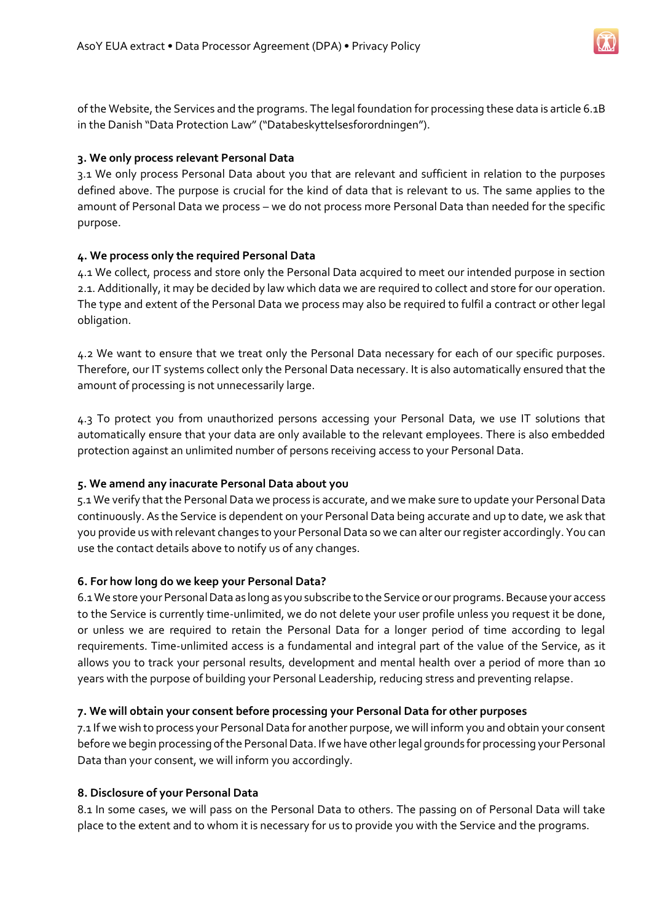

of the Website, the Services and the programs. The legal foundation for processing these data is article 6.1B in the Danish "Data Protection Law" ("Databeskyttelsesforordningen").

#### **3. We only process relevant Personal Data**

3.1 We only process Personal Data about you that are relevant and sufficient in relation to the purposes defined above. The purpose is crucial for the kind of data that is relevant to us. The same applies to the amount of Personal Data we process – we do not process more Personal Data than needed for the specific purpose.

#### **4. We process only the required Personal Data**

4.1 We collect, process and store only the Personal Data acquired to meet our intended purpose in section 2.1. Additionally, it may be decided by law which data we are required to collect and store for our operation. The type and extent of the Personal Data we process may also be required to fulfil a contract or other legal obligation.

4.2 We want to ensure that we treat only the Personal Data necessary for each of our specific purposes. Therefore, our IT systems collect only the Personal Data necessary. It is also automatically ensured that the amount of processing is not unnecessarily large.

4.3 To protect you from unauthorized persons accessing your Personal Data, we use IT solutions that automatically ensure that your data are only available to the relevant employees. There is also embedded protection against an unlimited number of persons receiving access to your Personal Data.

#### **5. We amend any inacurate Personal Data about you**

5.1 We verify that the Personal Data we process is accurate, and we make sure to update your Personal Data continuously. As the Service is dependent on your Personal Data being accurate and up to date, we ask that you provide us with relevant changes to your Personal Data so we can alter our register accordingly. You can use the contact details above to notify us of any changes.

#### **6. For how long do we keep your Personal Data?**

6.1 We store your Personal Data as long as you subscribe to the Service or our programs. Because your access to the Service is currently time-unlimited, we do not delete your user profile unless you request it be done, or unless we are required to retain the Personal Data for a longer period of time according to legal requirements. Time-unlimited access is a fundamental and integral part of the value of the Service, as it allows you to track your personal results, development and mental health over a period of more than 10 years with the purpose of building your Personal Leadership, reducing stress and preventing relapse.

#### **7. We will obtain your consent before processing your Personal Data for other purposes**

7.1 If we wish to process your Personal Data for another purpose, we will inform you and obtain your consent before we begin processing of the Personal Data. If we have other legal grounds for processing your Personal Data than your consent, we will inform you accordingly.

#### **8. Disclosure of your Personal Data**

8.1 In some cases, we will pass on the Personal Data to others. The passing on of Personal Data will take place to the extent and to whom it is necessary for us to provide you with the Service and the programs.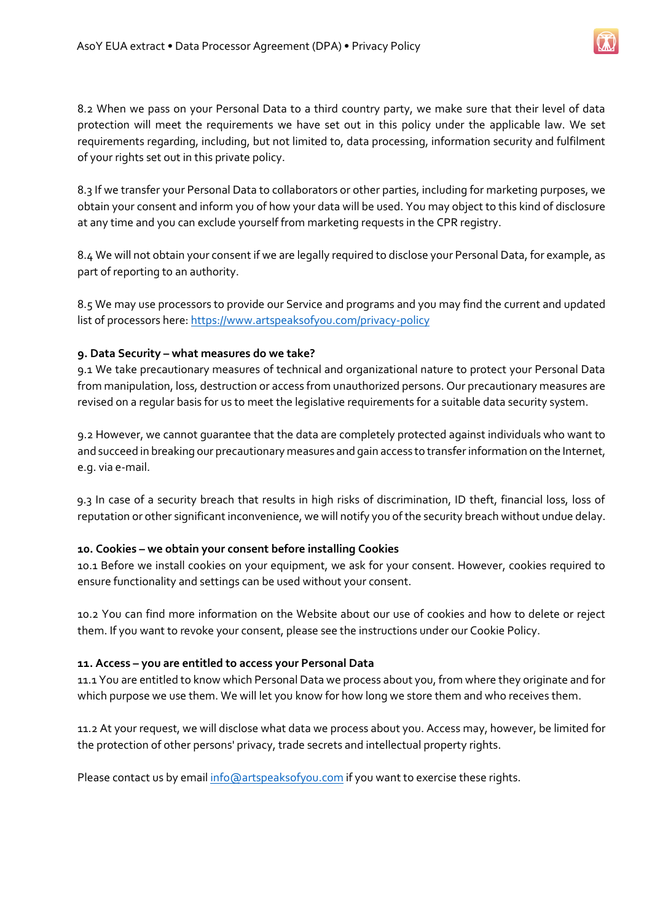8.2 When we pass on your Personal Data to a third country party, we make sure that their level of data protection will meet the requirements we have set out in this policy under the applicable law. We set requirements regarding, including, but not limited to, data processing, information security and fulfilment of your rights set out in this private policy.

8.3 If we transfer your Personal Data to collaborators or other parties, including for marketing purposes, we obtain your consent and inform you of how your data will be used. You may object to this kind of disclosure at any time and you can exclude yourself from marketing requests in the CPR registry.

8.4 We will not obtain your consent if we are legally required to disclose your Personal Data, for example, as part of reporting to an authority.

8.5 We may use processors to provide our Service and programs and you may find the current and updated list of processors here[: https://www.artspeaksofyou.com/privacy-policy](https://www.artspeaksofyou.com/privacy-policy) 

### **9. Data Security – what measures do we take?**

9.1 We take precautionary measures of technical and organizational nature to protect your Personal Data from manipulation, loss, destruction or access from unauthorized persons. Our precautionary measures are revised on a regular basis for us to meet the legislative requirements for a suitable data security system.

9.2 However, we cannot guarantee that the data are completely protected against individuals who want to and succeed in breaking our precautionary measures and gain access to transfer information on the Internet, e.g. via e-mail.

9.3 In case of a security breach that results in high risks of discrimination, ID theft, financial loss, loss of reputation or other significant inconvenience, we will notify you of the security breach without undue delay.

#### **10. Cookies – we obtain your consent before installing Cookies**

10.1 Before we install cookies on your equipment, we ask for your consent. However, cookies required to ensure functionality and settings can be used without your consent.

10.2 You can find more information on the Website about our use of cookies and how to delete or reject them. If you want to revoke your consent, please see the instructions under our Cookie Policy.

#### **11. Access – you are entitled to access your Personal Data**

11.1 You are entitled to know which Personal Data we process about you, from where they originate and for which purpose we use them. We will let you know for how long we store them and who receives them.

11.2 At your request, we will disclose what data we process about you. Access may, however, be limited for the protection of other persons' privacy, trade secrets and intellectual property rights.

Please contact us by emai[l info@artspeaksofyou.com](mailto:info@artspeaksofyou.com) if you want to exercise these rights.